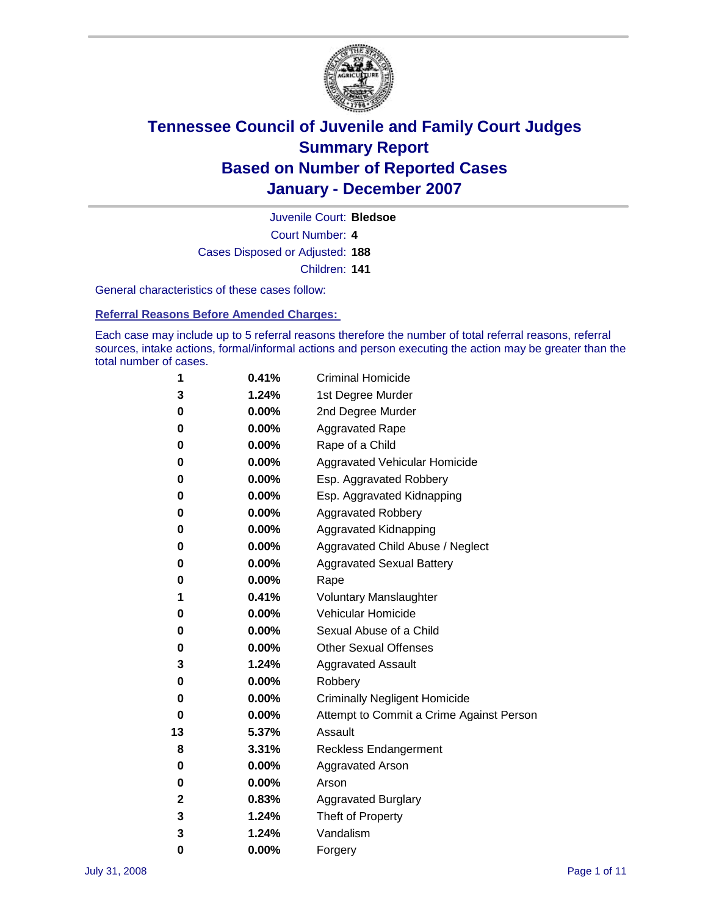

Court Number: **4** Juvenile Court: **Bledsoe** Cases Disposed or Adjusted: **188** Children: **141**

General characteristics of these cases follow:

**Referral Reasons Before Amended Charges:** 

Each case may include up to 5 referral reasons therefore the number of total referral reasons, referral sources, intake actions, formal/informal actions and person executing the action may be greater than the total number of cases.

| 1  | 0.41%    | <b>Criminal Homicide</b>                 |
|----|----------|------------------------------------------|
| 3  | 1.24%    | 1st Degree Murder                        |
| 0  | 0.00%    | 2nd Degree Murder                        |
| 0  | $0.00\%$ | <b>Aggravated Rape</b>                   |
| 0  | 0.00%    | Rape of a Child                          |
| 0  | 0.00%    | Aggravated Vehicular Homicide            |
| 0  | 0.00%    | Esp. Aggravated Robbery                  |
| 0  | 0.00%    | Esp. Aggravated Kidnapping               |
| 0  | 0.00%    | <b>Aggravated Robbery</b>                |
| 0  | 0.00%    | Aggravated Kidnapping                    |
| 0  | 0.00%    | Aggravated Child Abuse / Neglect         |
| 0  | 0.00%    | <b>Aggravated Sexual Battery</b>         |
| 0  | 0.00%    | Rape                                     |
| 1  | 0.41%    | <b>Voluntary Manslaughter</b>            |
| 0  | 0.00%    | Vehicular Homicide                       |
| 0  | 0.00%    | Sexual Abuse of a Child                  |
| 0  | $0.00\%$ | <b>Other Sexual Offenses</b>             |
| 3  | 1.24%    | <b>Aggravated Assault</b>                |
| 0  | 0.00%    | Robbery                                  |
| 0  | 0.00%    | <b>Criminally Negligent Homicide</b>     |
| 0  | 0.00%    | Attempt to Commit a Crime Against Person |
| 13 | 5.37%    | Assault                                  |
| 8  | 3.31%    | <b>Reckless Endangerment</b>             |
| 0  | 0.00%    | <b>Aggravated Arson</b>                  |
| 0  | 0.00%    | Arson                                    |
| 2  | 0.83%    | <b>Aggravated Burglary</b>               |
| 3  | 1.24%    | Theft of Property                        |
| 3  | 1.24%    | Vandalism                                |
| 0  | 0.00%    | Forgery                                  |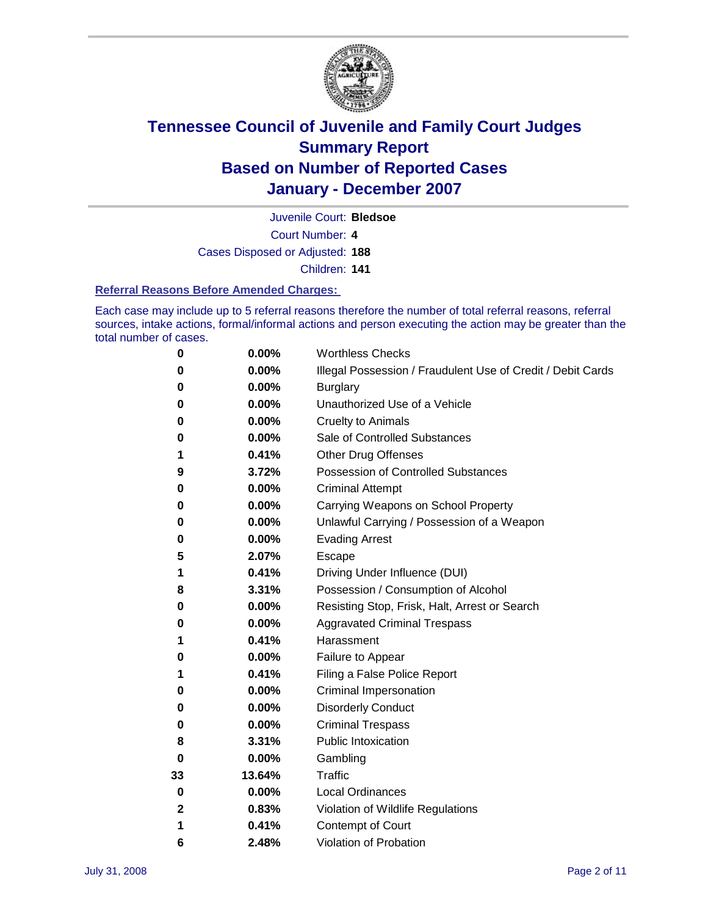

Juvenile Court: **Bledsoe**

Court Number: **4**

Cases Disposed or Adjusted: **188**

Children: **141**

### **Referral Reasons Before Amended Charges:**

Each case may include up to 5 referral reasons therefore the number of total referral reasons, referral sources, intake actions, formal/informal actions and person executing the action may be greater than the total number of cases.

| 0           | 0.00%    | <b>Worthless Checks</b>                                     |
|-------------|----------|-------------------------------------------------------------|
| 0           | 0.00%    | Illegal Possession / Fraudulent Use of Credit / Debit Cards |
| 0           | 0.00%    | <b>Burglary</b>                                             |
| 0           | 0.00%    | Unauthorized Use of a Vehicle                               |
| 0           | 0.00%    | <b>Cruelty to Animals</b>                                   |
| 0           | 0.00%    | Sale of Controlled Substances                               |
| 1           | 0.41%    | <b>Other Drug Offenses</b>                                  |
| 9           | 3.72%    | Possession of Controlled Substances                         |
| 0           | 0.00%    | <b>Criminal Attempt</b>                                     |
| 0           | 0.00%    | Carrying Weapons on School Property                         |
| 0           | 0.00%    | Unlawful Carrying / Possession of a Weapon                  |
| 0           | 0.00%    | <b>Evading Arrest</b>                                       |
| 5           | 2.07%    | Escape                                                      |
| 1           | 0.41%    | Driving Under Influence (DUI)                               |
| 8           | 3.31%    | Possession / Consumption of Alcohol                         |
| 0           | 0.00%    | Resisting Stop, Frisk, Halt, Arrest or Search               |
| 0           | 0.00%    | <b>Aggravated Criminal Trespass</b>                         |
| 1           | 0.41%    | Harassment                                                  |
| 0           | 0.00%    | Failure to Appear                                           |
| 1           | 0.41%    | Filing a False Police Report                                |
| 0           | 0.00%    | Criminal Impersonation                                      |
| 0           | 0.00%    | <b>Disorderly Conduct</b>                                   |
| 0           | 0.00%    | <b>Criminal Trespass</b>                                    |
| 8           | 3.31%    | <b>Public Intoxication</b>                                  |
| 0           | 0.00%    | Gambling                                                    |
| 33          | 13.64%   | Traffic                                                     |
| 0           | $0.00\%$ | <b>Local Ordinances</b>                                     |
| $\mathbf 2$ | 0.83%    | Violation of Wildlife Regulations                           |
| 1           | 0.41%    | Contempt of Court                                           |
| 6           | 2.48%    | Violation of Probation                                      |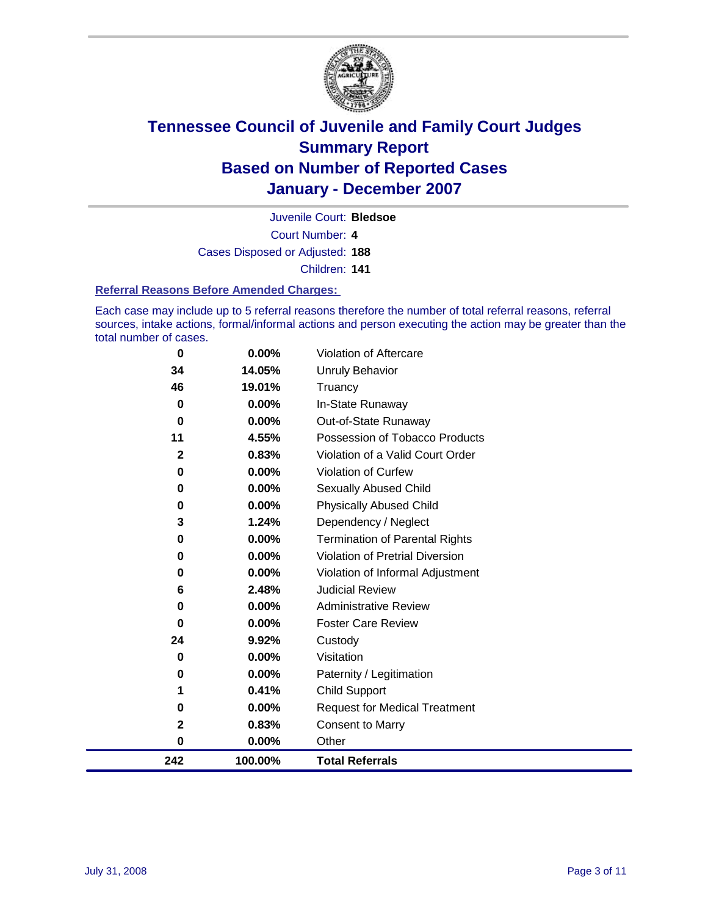

Court Number: **4** Juvenile Court: **Bledsoe** Cases Disposed or Adjusted: **188** Children: **141**

#### **Referral Reasons Before Amended Charges:**

Each case may include up to 5 referral reasons therefore the number of total referral reasons, referral sources, intake actions, formal/informal actions and person executing the action may be greater than the total number of cases.

| 0            | $0.00\%$ | Violation of Aftercare                |
|--------------|----------|---------------------------------------|
| 34           | 14.05%   | <b>Unruly Behavior</b>                |
| 46           | 19.01%   | Truancy                               |
| 0            | 0.00%    | In-State Runaway                      |
| $\bf{0}$     | 0.00%    | Out-of-State Runaway                  |
| 11           | 4.55%    | Possession of Tobacco Products        |
| $\mathbf{2}$ | 0.83%    | Violation of a Valid Court Order      |
| 0            | 0.00%    | Violation of Curfew                   |
| 0            | 0.00%    | <b>Sexually Abused Child</b>          |
| 0            | $0.00\%$ | <b>Physically Abused Child</b>        |
| 3            | 1.24%    | Dependency / Neglect                  |
| 0            | $0.00\%$ | <b>Termination of Parental Rights</b> |
| 0            | 0.00%    | Violation of Pretrial Diversion       |
| 0            | $0.00\%$ | Violation of Informal Adjustment      |
| 6            | 2.48%    | <b>Judicial Review</b>                |
| 0            | $0.00\%$ | <b>Administrative Review</b>          |
| 0            | $0.00\%$ | <b>Foster Care Review</b>             |
| 24           | 9.92%    | Custody                               |
| 0            | 0.00%    | Visitation                            |
| 0            | $0.00\%$ | Paternity / Legitimation              |
| 1            | 0.41%    | Child Support                         |
| 0            | 0.00%    | <b>Request for Medical Treatment</b>  |
| $\mathbf 2$  | 0.83%    | <b>Consent to Marry</b>               |
| 0            | 0.00%    | Other                                 |
| 242          | 100.00%  | <b>Total Referrals</b>                |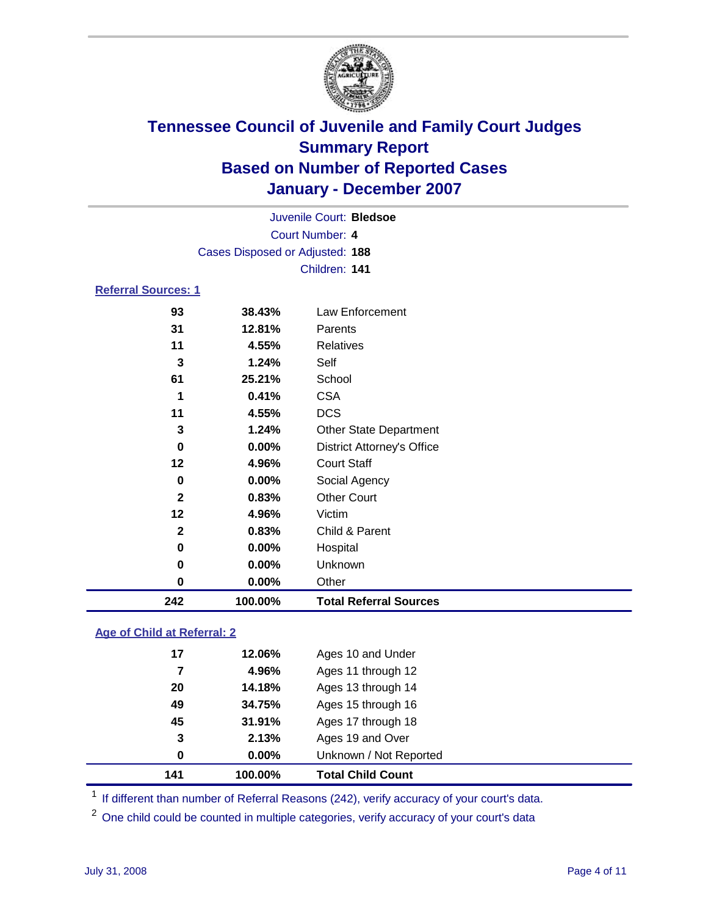

|                            |                                 | Juvenile Court: Bledsoe           |
|----------------------------|---------------------------------|-----------------------------------|
|                            |                                 | Court Number: 4                   |
|                            | Cases Disposed or Adjusted: 188 |                                   |
|                            |                                 | Children: 141                     |
| <b>Referral Sources: 1</b> |                                 |                                   |
| 93                         | 38.43%                          | Law Enforcement                   |
| 31                         | 12.81%                          | Parents                           |
| 11                         | 4.55%                           | <b>Relatives</b>                  |
| 3                          | 1.24%                           | Self                              |
| 61                         | 25.21%                          | School                            |
| 1                          | 0.41%                           | <b>CSA</b>                        |
| 11                         | 4.55%                           | <b>DCS</b>                        |
| 3                          | 1.24%                           | <b>Other State Department</b>     |
| 0                          | $0.00\%$                        | <b>District Attorney's Office</b> |
| $12 \,$                    | 4.96%                           | <b>Court Staff</b>                |
| 0                          | $0.00\%$                        | Social Agency                     |
| $\mathbf{2}$               | 0.83%                           | <b>Other Court</b>                |

| 100.00%  | <b>Total Referral Sources</b> |  |
|----------|-------------------------------|--|
| $0.00\%$ | Other                         |  |
| $0.00\%$ | <b>Unknown</b>                |  |
| $0.00\%$ | Hospital                      |  |
| 0.83%    | Child & Parent                |  |
| 4.96%    | Victim                        |  |
|          |                               |  |

### **Age of Child at Referral: 2**

| 141 | 100.00% | <b>Total Child Count</b> |
|-----|---------|--------------------------|
| 0   | 0.00%   | Unknown / Not Reported   |
| 3   | 2.13%   | Ages 19 and Over         |
| 45  | 31.91%  | Ages 17 through 18       |
| 49  | 34.75%  | Ages 15 through 16       |
| 20  | 14.18%  | Ages 13 through 14       |
| 7   | 4.96%   | Ages 11 through 12       |
| 17  | 12.06%  | Ages 10 and Under        |
|     |         |                          |

<sup>1</sup> If different than number of Referral Reasons (242), verify accuracy of your court's data.

One child could be counted in multiple categories, verify accuracy of your court's data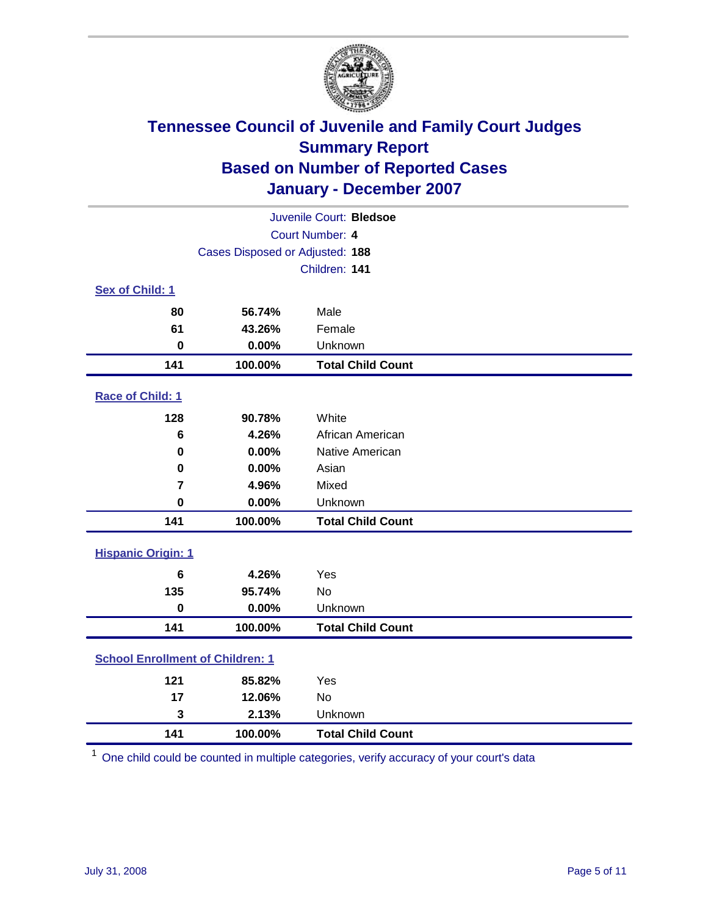

| Juvenile Court: Bledsoe                 |         |                          |  |  |  |
|-----------------------------------------|---------|--------------------------|--|--|--|
| Court Number: 4                         |         |                          |  |  |  |
| Cases Disposed or Adjusted: 188         |         |                          |  |  |  |
|                                         |         | Children: 141            |  |  |  |
| <b>Sex of Child: 1</b>                  |         |                          |  |  |  |
| 80                                      | 56.74%  | Male                     |  |  |  |
| 61                                      | 43.26%  | Female                   |  |  |  |
| $\bf{0}$                                | 0.00%   | Unknown                  |  |  |  |
| 141                                     | 100.00% | <b>Total Child Count</b> |  |  |  |
| <b>Race of Child: 1</b>                 |         |                          |  |  |  |
| 128                                     | 90.78%  | White                    |  |  |  |
| 6                                       | 4.26%   | African American         |  |  |  |
| $\mathbf 0$                             | 0.00%   | Native American          |  |  |  |
| 0                                       | 0.00%   | Asian                    |  |  |  |
| $\overline{7}$                          | 4.96%   | Mixed                    |  |  |  |
| $\mathbf 0$                             | 0.00%   | Unknown                  |  |  |  |
| 141                                     | 100.00% | <b>Total Child Count</b> |  |  |  |
| <b>Hispanic Origin: 1</b>               |         |                          |  |  |  |
| $6\phantom{1}$                          | 4.26%   | Yes                      |  |  |  |
| 135                                     | 95.74%  | <b>No</b>                |  |  |  |
| $\mathbf 0$                             | 0.00%   | Unknown                  |  |  |  |
| 141                                     | 100.00% | <b>Total Child Count</b> |  |  |  |
| <b>School Enrollment of Children: 1</b> |         |                          |  |  |  |
| 121                                     | 85.82%  | Yes                      |  |  |  |
| 17                                      | 12.06%  | No                       |  |  |  |
| 3                                       | 2.13%   | Unknown                  |  |  |  |
| 141                                     | 100.00% | <b>Total Child Count</b> |  |  |  |

One child could be counted in multiple categories, verify accuracy of your court's data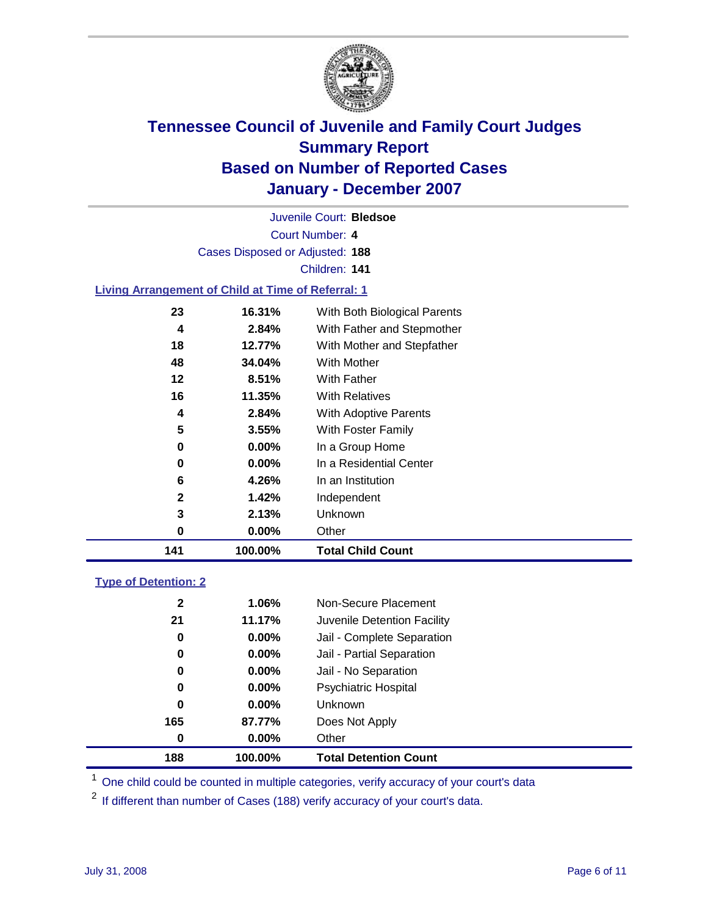

Court Number: **4** Juvenile Court: **Bledsoe** Cases Disposed or Adjusted: **188** Children: **141 Living Arrangement of Child at Time of Referral: 1 16.31%** With Both Biological Parents

| 141 | 100.00%  | <b>Total Child Count</b>             |
|-----|----------|--------------------------------------|
| 0   | $0.00\%$ | Other                                |
| 3   | 2.13%    | Unknown                              |
| 2   | 1.42%    | Independent                          |
| 6   | 4.26%    | In an Institution                    |
| 0   | $0.00\%$ | In a Residential Center              |
| 0   | $0.00\%$ | In a Group Home                      |
| 5   | 3.55%    | With Foster Family                   |
| 4   | 2.84%    | <b>With Adoptive Parents</b>         |
| 16  | 11.35%   | <b>With Relatives</b>                |
| 12  | 8.51%    | <b>With Father</b>                   |
| 48  | 34.04%   | With Mother                          |
| 18  | 12.77%   | With Mother and Stepfather           |
| 4   | 2.84%    | With Father and Stepmother           |
| د∠  | 10.31%   | <i>vvith Both Biological Parents</i> |

### **Type of Detention: 2**

| 188          | 100.00%  | <b>Total Detention Count</b> |  |
|--------------|----------|------------------------------|--|
| 0            | $0.00\%$ | Other                        |  |
| 165          | 87.77%   | Does Not Apply               |  |
| 0            | $0.00\%$ | <b>Unknown</b>               |  |
| 0            | 0.00%    | <b>Psychiatric Hospital</b>  |  |
| 0            | $0.00\%$ | Jail - No Separation         |  |
| 0            | $0.00\%$ | Jail - Partial Separation    |  |
| 0            | $0.00\%$ | Jail - Complete Separation   |  |
| 21           | 11.17%   | Juvenile Detention Facility  |  |
| $\mathbf{2}$ | $1.06\%$ | Non-Secure Placement         |  |
|              |          |                              |  |

<sup>1</sup> One child could be counted in multiple categories, verify accuracy of your court's data

<sup>2</sup> If different than number of Cases (188) verify accuracy of your court's data.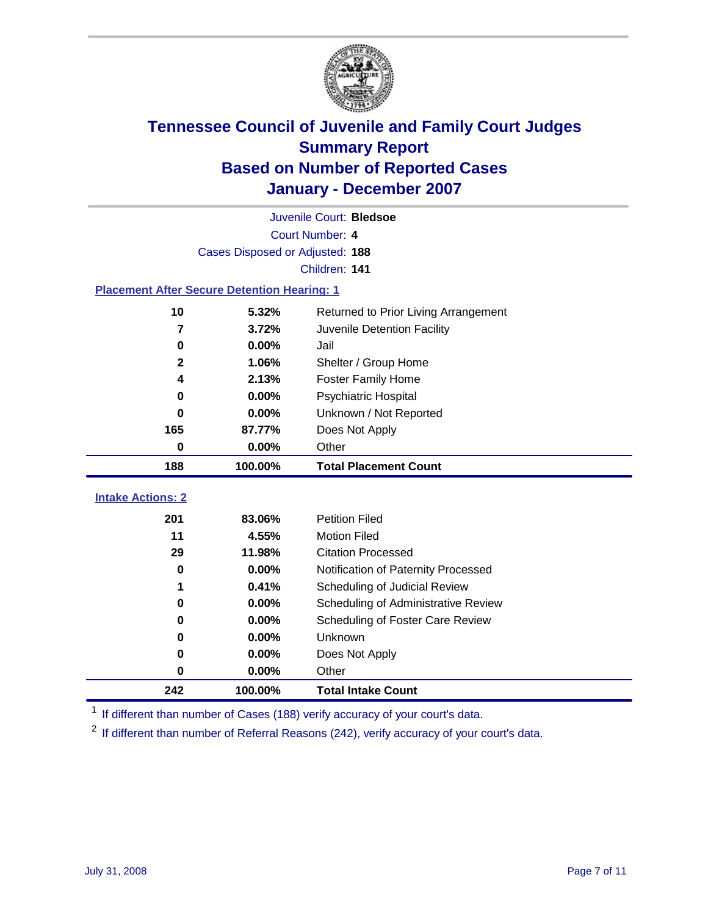

| Juvenile Court: Bledsoe                            |         |                                      |  |  |  |  |
|----------------------------------------------------|---------|--------------------------------------|--|--|--|--|
| Court Number: 4                                    |         |                                      |  |  |  |  |
| Cases Disposed or Adjusted: 188                    |         |                                      |  |  |  |  |
| Children: 141                                      |         |                                      |  |  |  |  |
| <b>Placement After Secure Detention Hearing: 1</b> |         |                                      |  |  |  |  |
| 10                                                 | 5.32%   | Returned to Prior Living Arrangement |  |  |  |  |
| $\overline{7}$                                     | 3.72%   | Juvenile Detention Facility          |  |  |  |  |
| 0                                                  | 0.00%   | Jail                                 |  |  |  |  |
| $\mathbf{2}$                                       | 1.06%   | Shelter / Group Home                 |  |  |  |  |
| 4                                                  | 2.13%   | <b>Foster Family Home</b>            |  |  |  |  |
| $\bf{0}$                                           | 0.00%   | Psychiatric Hospital                 |  |  |  |  |
| 0                                                  | 0.00%   | Unknown / Not Reported               |  |  |  |  |
| 165                                                | 87.77%  | Does Not Apply                       |  |  |  |  |
| 0                                                  | 0.00%   | Other                                |  |  |  |  |
| 188                                                | 100.00% | <b>Total Placement Count</b>         |  |  |  |  |
| <b>Intake Actions: 2</b>                           |         |                                      |  |  |  |  |
| 201                                                | 83.06%  | <b>Petition Filed</b>                |  |  |  |  |
| 11                                                 | 4.55%   | <b>Motion Filed</b>                  |  |  |  |  |
| 29                                                 | 11.98%  | <b>Citation Processed</b>            |  |  |  |  |
| $\bf{0}$                                           | 0.00%   | Notification of Paternity Processed  |  |  |  |  |
| 1                                                  | 0.41%   | Scheduling of Judicial Review        |  |  |  |  |
| 0                                                  | 0.00%   | Scheduling of Administrative Review  |  |  |  |  |
| 0                                                  | 0.00%   | Scheduling of Foster Care Review     |  |  |  |  |
| $\bf{0}$                                           | 0.00%   | Unknown                              |  |  |  |  |
| 0                                                  | 0.00%   | Does Not Apply                       |  |  |  |  |
| $\bf{0}$                                           | 0.00%   | Other                                |  |  |  |  |
| 242                                                | 100.00% | <b>Total Intake Count</b>            |  |  |  |  |

<sup>1</sup> If different than number of Cases (188) verify accuracy of your court's data.

<sup>2</sup> If different than number of Referral Reasons (242), verify accuracy of your court's data.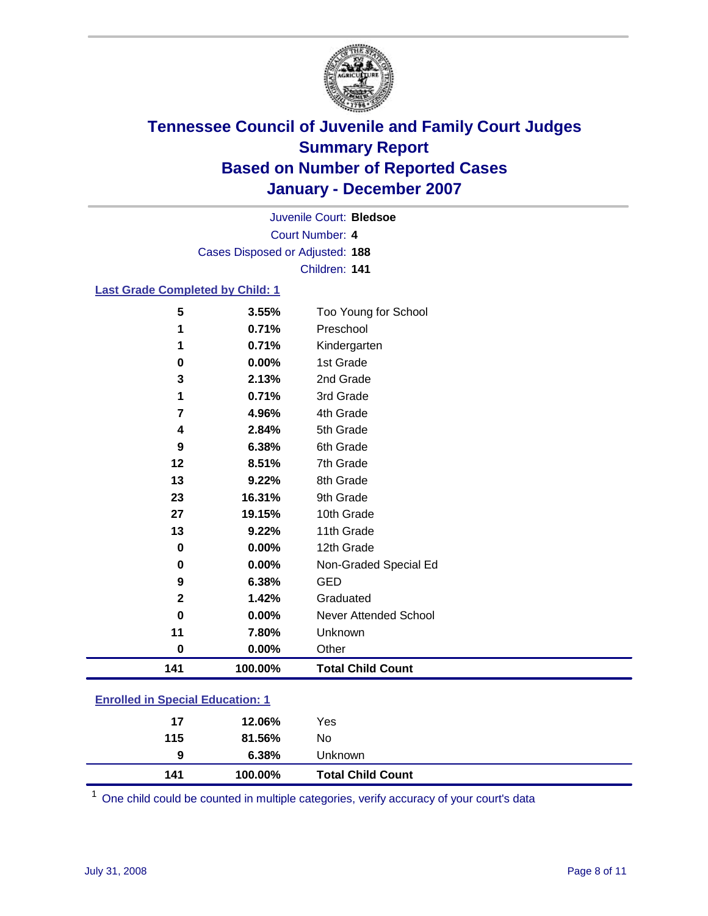

Court Number: **4** Juvenile Court: **Bledsoe** Cases Disposed or Adjusted: **188** Children: **141**

### **Last Grade Completed by Child: 1**

| 141          | 100.00% | <b>Total Child Count</b> |
|--------------|---------|--------------------------|
| 0            | 0.00%   | Other                    |
| 11           | 7.80%   | Unknown                  |
| $\bf{0}$     | 0.00%   | Never Attended School    |
| $\mathbf{2}$ | 1.42%   | Graduated                |
| 9            | 6.38%   | <b>GED</b>               |
| $\bf{0}$     | 0.00%   | Non-Graded Special Ed    |
| $\mathbf 0$  | 0.00%   | 12th Grade               |
| 13           | 9.22%   | 11th Grade               |
| 27           | 19.15%  | 10th Grade               |
| 23           | 16.31%  | 9th Grade                |
| 13           | 9.22%   | 8th Grade                |
| 12           | 8.51%   | 7th Grade                |
| 9            | 6.38%   | 6th Grade                |
| 4            | 2.84%   | 5th Grade                |
| 7            | 4.96%   | 4th Grade                |
| 1            | 0.71%   | 3rd Grade                |
| 3            | 2.13%   | 2nd Grade                |
| $\bf{0}$     | 0.00%   | 1st Grade                |
| 1            | 0.71%   | Kindergarten             |
|              | 0.71%   | Preschool                |
| 5            | 3.55%   | Too Young for School     |

### **Enrolled in Special Education: 1**

| 6.38%<br><b>Unknown</b><br>9 |  |
|------------------------------|--|
| 115<br>81.56%<br>No.         |  |
| 17<br>Yes<br>12.06%          |  |

<sup>1</sup> One child could be counted in multiple categories, verify accuracy of your court's data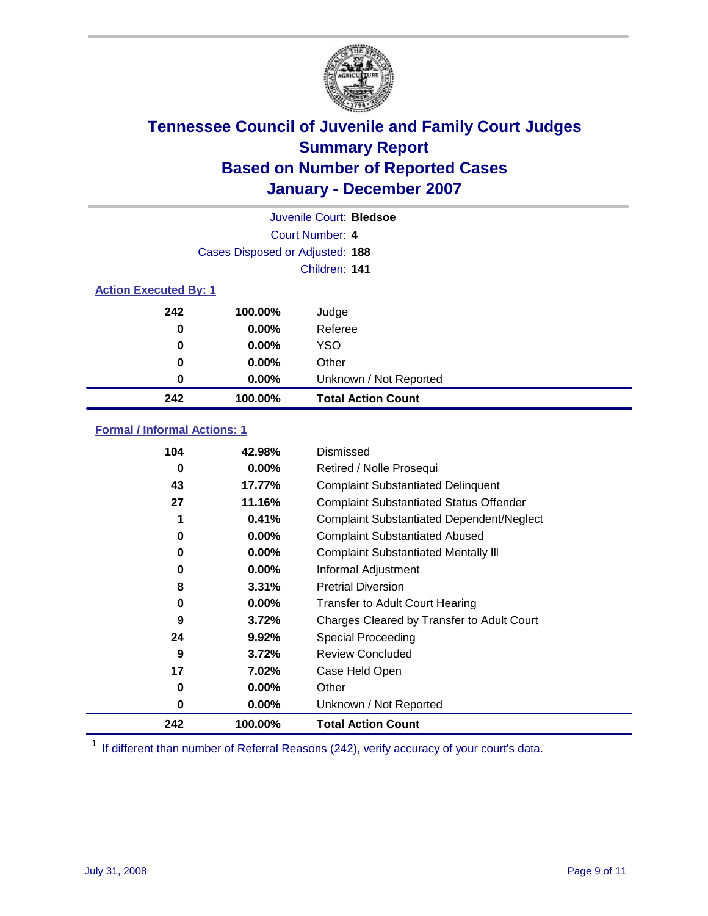

|                              |                                 | Juvenile Court: Bledsoe   |
|------------------------------|---------------------------------|---------------------------|
|                              |                                 | Court Number: 4           |
|                              | Cases Disposed or Adjusted: 188 |                           |
|                              |                                 | Children: 141             |
| <b>Action Executed By: 1</b> |                                 |                           |
| 242                          | 100.00%                         | Judge                     |
| 0                            | $0.00\%$                        | Referee                   |
| 0                            | $0.00\%$                        | <b>YSO</b>                |
| 0                            | $0.00\%$                        | Other                     |
| 0                            | $0.00\%$                        | Unknown / Not Reported    |
| 242                          | 100.00%                         | <b>Total Action Count</b> |

### **Formal / Informal Actions: 1**

| 104 | 42.98%   | Dismissed                                        |
|-----|----------|--------------------------------------------------|
| 0   | 0.00%    | Retired / Nolle Prosequi                         |
| 43  | 17.77%   | <b>Complaint Substantiated Delinquent</b>        |
| 27  | 11.16%   | <b>Complaint Substantiated Status Offender</b>   |
| 1   | 0.41%    | <b>Complaint Substantiated Dependent/Neglect</b> |
| 0   | $0.00\%$ | <b>Complaint Substantiated Abused</b>            |
| 0   | $0.00\%$ | <b>Complaint Substantiated Mentally III</b>      |
| 0   | $0.00\%$ | Informal Adjustment                              |
| 8   | 3.31%    | <b>Pretrial Diversion</b>                        |
| 0   | 0.00%    | <b>Transfer to Adult Court Hearing</b>           |
| 9   | 3.72%    | Charges Cleared by Transfer to Adult Court       |
| 24  | $9.92\%$ | Special Proceeding                               |
| 9   | 3.72%    | <b>Review Concluded</b>                          |
| 17  | $7.02\%$ | Case Held Open                                   |
| 0   | $0.00\%$ | Other                                            |
| 0   | $0.00\%$ | Unknown / Not Reported                           |
| 242 | 100.00%  | <b>Total Action Count</b>                        |

<sup>1</sup> If different than number of Referral Reasons (242), verify accuracy of your court's data.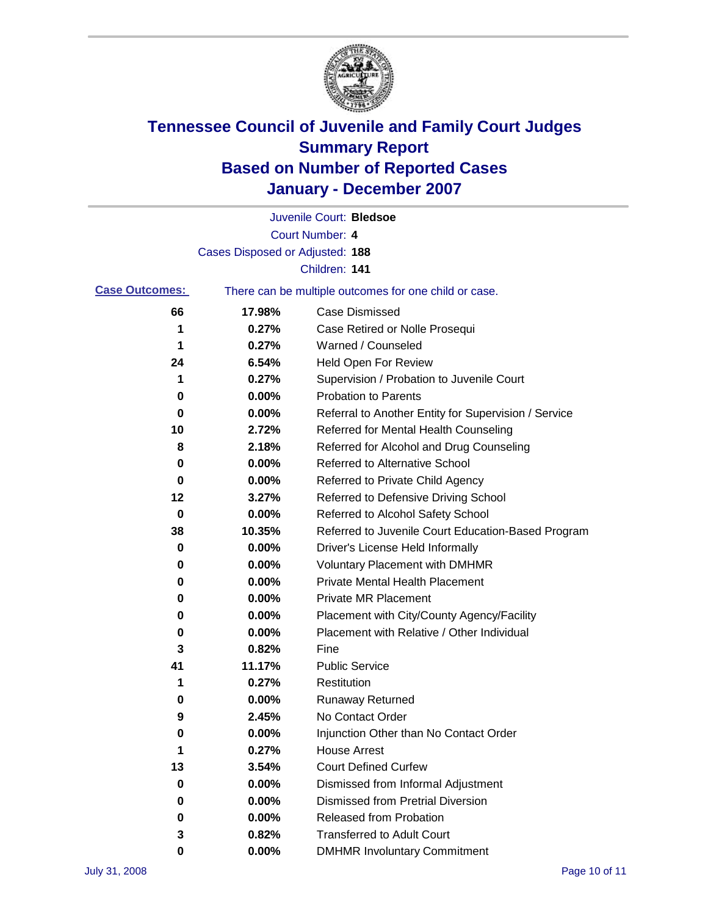

|                       |                                 | Juvenile Court: Bledsoe                               |
|-----------------------|---------------------------------|-------------------------------------------------------|
|                       |                                 | Court Number: 4                                       |
|                       | Cases Disposed or Adjusted: 188 |                                                       |
|                       |                                 | Children: 141                                         |
| <b>Case Outcomes:</b> |                                 | There can be multiple outcomes for one child or case. |
| 66                    | 17.98%                          | <b>Case Dismissed</b>                                 |
| 1                     | 0.27%                           | Case Retired or Nolle Prosequi                        |
| 1                     | 0.27%                           | Warned / Counseled                                    |
| 24                    | 6.54%                           | Held Open For Review                                  |
| 1                     | 0.27%                           | Supervision / Probation to Juvenile Court             |
| 0                     | 0.00%                           | <b>Probation to Parents</b>                           |
| 0                     | 0.00%                           | Referral to Another Entity for Supervision / Service  |
| 10                    | 2.72%                           | Referred for Mental Health Counseling                 |
| 8                     | 2.18%                           | Referred for Alcohol and Drug Counseling              |
| 0                     | 0.00%                           | <b>Referred to Alternative School</b>                 |
| 0                     | 0.00%                           | Referred to Private Child Agency                      |
| 12                    | 3.27%                           | Referred to Defensive Driving School                  |
| 0                     | 0.00%                           | Referred to Alcohol Safety School                     |
| 38                    | 10.35%                          | Referred to Juvenile Court Education-Based Program    |
| 0                     | 0.00%                           | Driver's License Held Informally                      |
| 0                     | 0.00%                           | <b>Voluntary Placement with DMHMR</b>                 |
| 0                     | 0.00%                           | <b>Private Mental Health Placement</b>                |
| 0                     | 0.00%                           | <b>Private MR Placement</b>                           |
| 0                     | 0.00%                           | Placement with City/County Agency/Facility            |
| 0                     | 0.00%                           | Placement with Relative / Other Individual            |
| 3                     | 0.82%                           | Fine                                                  |
| 41                    | 11.17%                          | <b>Public Service</b>                                 |
| 1                     | 0.27%                           | Restitution                                           |
| 0                     | 0.00%                           | <b>Runaway Returned</b>                               |
| 9                     | 2.45%                           | No Contact Order                                      |
| 0                     | 0.00%                           | Injunction Other than No Contact Order                |
| 1                     | 0.27%                           | <b>House Arrest</b>                                   |
| 13                    | 3.54%                           | <b>Court Defined Curfew</b>                           |
| 0                     | 0.00%                           | Dismissed from Informal Adjustment                    |
| 0                     | 0.00%                           | <b>Dismissed from Pretrial Diversion</b>              |
| 0                     | 0.00%                           | <b>Released from Probation</b>                        |
| 3                     | 0.82%                           | <b>Transferred to Adult Court</b>                     |
| 0                     | $0.00\%$                        | <b>DMHMR Involuntary Commitment</b>                   |